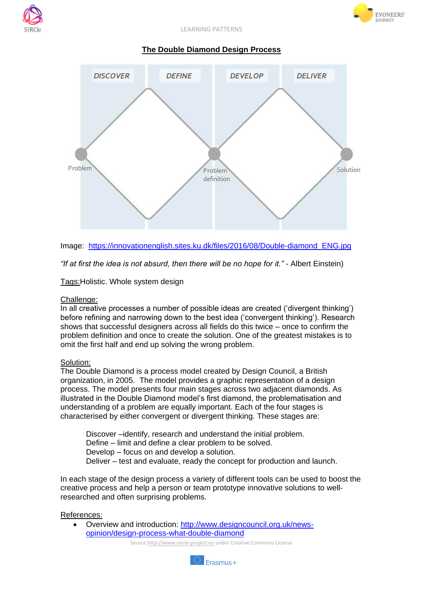



EVONEERS'

## **The Double Diamond Design Process**





*"If at first the idea is not absurd, then there will be no hope for it."* - Albert Einstein)

Tags:Holistic. Whole system design

## Challenge:

In all creative processes a number of possible ideas are created ('divergent thinking') before refining and narrowing down to the best idea ('convergent thinking'). Research shows that successful designers across all fields do this twice – once to confirm the problem definition and once to create the solution. One of the greatest mistakes is to omit the first half and end up solving the wrong problem.

## Solution:

The Double Diamond is a process model created by Design Council, a British organization, in 2005. The model provides a graphic representation of a design process. The model presents four main stages across two adjacent diamonds. As illustrated in the Double Diamond model's first diamond, the problematisation and understanding of a problem are equally important. Each of the four stages is characterised by either convergent or divergent thinking. These stages are:

Discover –identify, research and understand the initial problem. Define – limit and define a clear problem to be solved. Develop – focus on and develop a solution. Deliver – test and evaluate, ready the concept for production and launch.

In each stage of the design process a variety of different tools can be used to boost the creative process and help a person or team prototype innovative solutions to wellresearched and often surprising problems.

## References:

 Overview and introduction: [http://www.designcouncil.org.uk/news](http://www.designcouncil.org.uk/news-opinion/design-process-what-double-diamond)[opinion/design-process-what-double-diamond](http://www.designcouncil.org.uk/news-opinion/design-process-what-double-diamond)

Source http://www.sircle-project.eu under Creative Commons License